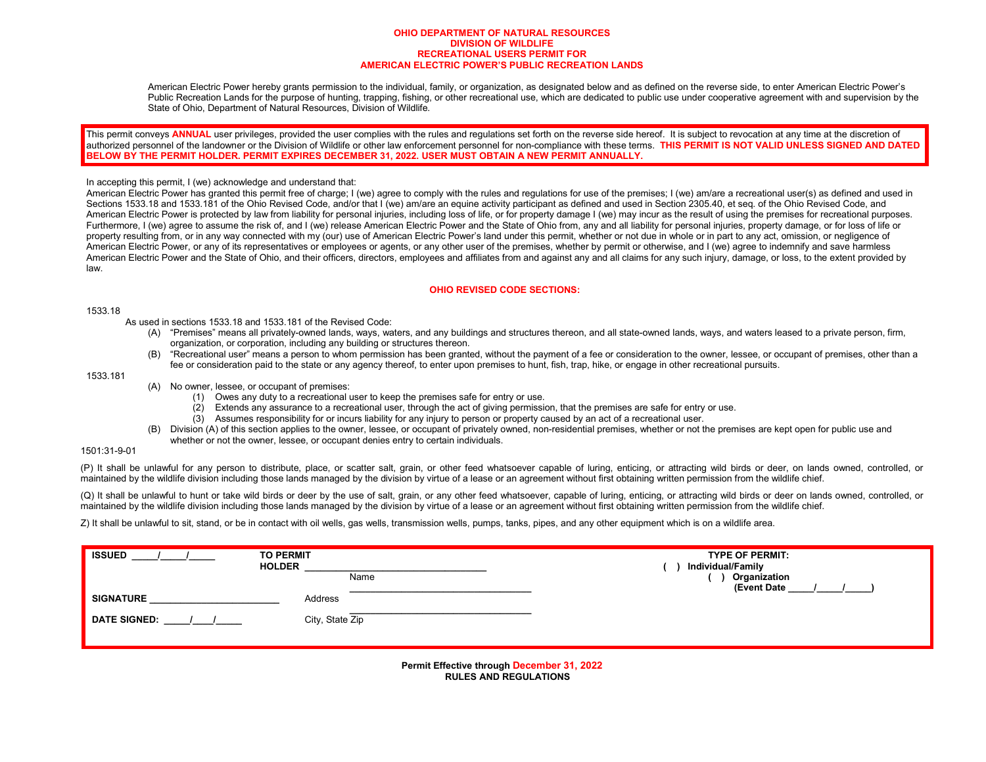#### **OHIO DEPARTMENT OF NATURAL RESOURCES DIVISION OF WILDLIFE RECREATIONAL USERS PERMIT FOR AMERICAN ELECTRIC POWER'S PUBLIC RECREATION LANDS**

American Electric Power hereby grants permission to the individual, family, or organization, as designated below and as defined on the reverse side, to enter American Electric Power's Public Recreation Lands for the purpose of hunting, trapping, fishing, or other recreational use, which are dedicated to public use under cooperative agreement with and supervision by the State of Ohio, Department of Natural Resources, Division of Wildlife.

This permit conveys **ANNUAL** user privileges, provided the user complies with the rules and regulations set forth on the reverse side hereof. It is subject to revocation at any time at the discretion of authorized personnel of the landowner or the Division of Wildlife or other law enforcement personnel for non-compliance with these terms. THIS PERMIT IS NOT VALID UNLESS SIGNED AND DATED **BELOW BY THE PERMIT HOLDER. PERMIT EXPIRES DECEMBER 31, 2022. USER MUST OBTAIN A NEW PERMIT ANNUALLY.**

#### In accepting this permit, I (we) acknowledge and understand that:

American Electric Power has granted this permit free of charge; I (we) agree to comply with the rules and regulations for use of the premises; I (we) am/are a recreational user(s) as defined and used in Sections 1533.18 and 1533.181 of the Ohio Revised Code, and/or that I (we) am/are an equine activity participant as defined and used in Section 2305.40, et seq. of the Ohio Revised Code, and American Electric Power is protected by law from liability for personal injuries, including loss of life, or for property damage I (we) may incur as the result of using the premises for recreational purposes. Furthermore, I (we) agree to assume the risk of, and I (we) release American Electric Power and the State of Ohio from, any and all liability for personal injuries, property damage, or for loss of life or property resulting from, or in any way connected with my (our) use of American Electric Power's land under this permit, whether or not due in whole or in part to any act, omission, or negligence of American Electric Power, or any of its representatives or employees or agents, or any other user of the premises, whether by permit or otherwise, and I (we) agree to indemnify and save harmless American Electric Power and the State of Ohio, and their officers, directors, employees and affiliates from and against any and all claims for any such injury, damage, or loss, to the extent provided by law.

## **OHIO REVISED CODE SECTIONS:**

### 1533.18

As used in sections 1533.18 and 1533.181 of the Revised Code:

- (A) "Premises" means all privately-owned lands, ways, waters, and any buildings and structures thereon, and all state-owned lands, ways, and waters leased to a private person, firm, organization, or corporation, including any building or structures thereon.
- (B) "Recreational user" means a person to whom permission has been granted, without the payment of a fee or consideration to the owner, lessee, or occupant of premises, other than a fee or consideration paid to the state or any agency thereof, to enter upon premises to hunt, fish, trap, hike, or engage in other recreational pursuits.

## 1533.181

- (A) No owner, lessee, or occupant of premises:
	- (1) Owes any duty to a recreational user to keep the premises safe for entry or use.
	- (2) Extends any assurance to a recreational user, through the act of giving permission, that the premises are safe for entry or use.
	- (3) Assumes responsibility for or incurs liability for any injury to person or property caused by an act of a recreational user.
- (B) Division (A) of this section applies to the owner, lessee, or occupant of privately owned, non-residential premises, whether or not the premises are kept open for public use and whether or not the owner, lessee, or occupant denies entry to certain individuals.

# 1501:31-9-01

(P) It shall be unlawful for any person to distribute, place, or scatter salt, grain, or other feed whatsoever capable of luring, enticing, or attracting wild birds or deer, on lands owned, controlled, or maintained by the wildlife division including those lands managed by the division by virtue of a lease or an agreement without first obtaining written permission from the wildlife chief.

(Q) It shall be unlawful to hunt or take wild birds or deer by the use of salt, grain, or any other feed whatsoever, capable of luring, enticing, or attracting wild birds or deer on lands owned, controlled, or maintained by the wildlife division including those lands managed by the division by virtue of a lease or an agreement without first obtaining written permission from the wildlife chief.

Z) It shall be unlawful to sit, stand, or be in contact with oil wells, gas wells, transmission wells, pumps, tanks, pipes, and any other equipment which is on a wildlife area.

| <b>ISSUED</b><br><b>TO PERMIT</b><br><b>HOLDER</b> | <b>TYPE OF PERMIT:</b><br>Individual/Family |
|----------------------------------------------------|---------------------------------------------|
| Name                                               | Organization                                |
| <b>SIGNATURE</b><br>Address                        | (Event Date                                 |
| City, State Zip<br><b>DATE SIGNED:</b>             |                                             |
|                                                    |                                             |